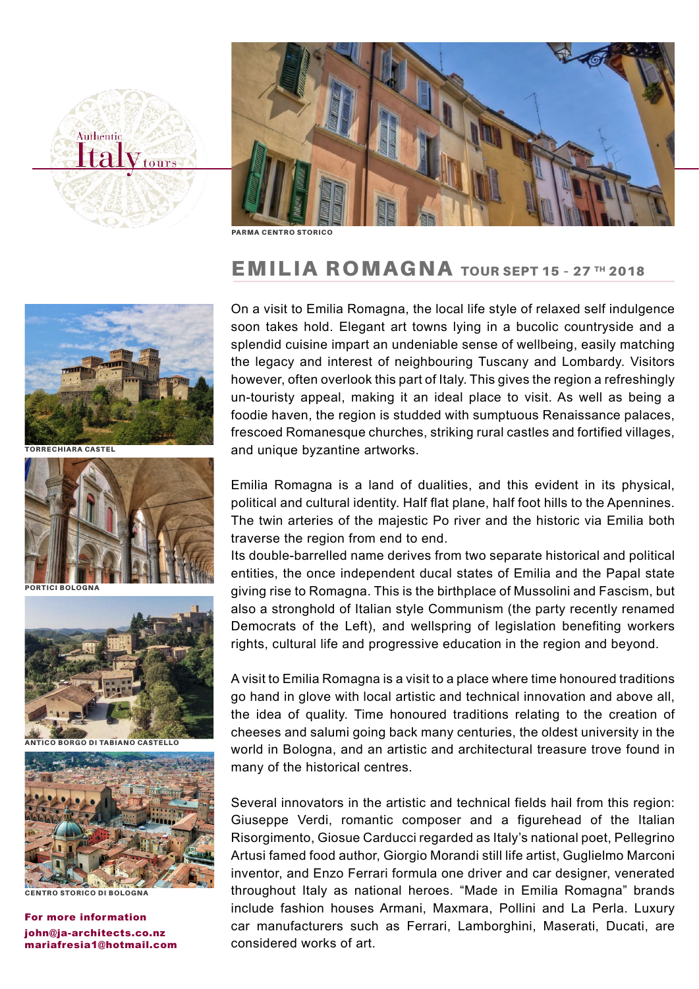



PARMA CENTRO STORICO

## EMILIA ROMAGNA TOUR SEPT 15 – 27 TH 2018



TORRECHIARA CASTEL



**ICI BOLOGNA** 



ANTICO BORGO DI TABIANO CASTELLO



STORICO DI BOLOGNA

john@ja-architects.co.nz mariafresia1@hotmail.com For more information

On a visit to Emilia Romagna, the local life style of relaxed self indulgence soon takes hold. Elegant art towns lying in a bucolic countryside and a splendid cuisine impart an undeniable sense of wellbeing, easily matching the legacy and interest of neighbouring Tuscany and Lombardy. Visitors however, often overlook this part of Italy. This gives the region a refreshingly un-touristy appeal, making it an ideal place to visit. As well as being a foodie haven, the region is studded with sumptuous Renaissance palaces, frescoed Romanesque churches, striking rural castles and fortified villages, and unique byzantine artworks.

Emilia Romagna is a land of dualities, and this evident in its physical, political and cultural identity. Half flat plane, half foot hills to the Apennines. The twin arteries of the majestic Po river and the historic via Emilia both traverse the region from end to end.

Its double-barrelled name derives from two separate historical and political entities, the once independent ducal states of Emilia and the Papal state giving rise to Romagna. This is the birthplace of Mussolini and Fascism, but also a stronghold of Italian style Communism (the party recently renamed Democrats of the Left), and wellspring of legislation benefiting workers rights, cultural life and progressive education in the region and beyond.

A visit to Emilia Romagna is a visit to a place where time honoured traditions go hand in glove with local artistic and technical innovation and above all, the idea of quality. Time honoured traditions relating to the creation of cheeses and salumi going back many centuries, the oldest university in the world in Bologna, and an artistic and architectural treasure trove found in many of the historical centres.

Several innovators in the artistic and technical fields hail from this region: Giuseppe Verdi, romantic composer and a figurehead of the Italian Risorgimento, Giosue Carducci regarded as Italy's national poet, Pellegrino Artusi famed food author, Giorgio Morandi still life artist, Guglielmo Marconi inventor, and Enzo Ferrari formula one driver and car designer, venerated throughout Italy as national heroes. "Made in Emilia Romagna" brands include fashion houses Armani, Maxmara, Pollini and La Perla. Luxury car manufacturers such as Ferrari, Lamborghini, Maserati, Ducati, are considered works of art.